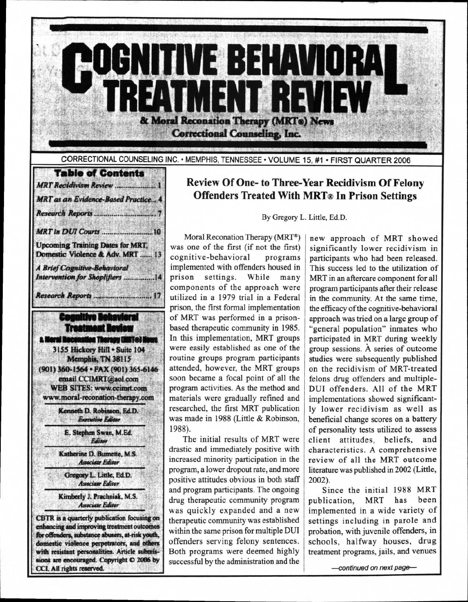**COGNITIVE BEHAVIORAL TREATMENT REVIEW & Moral Reconation Therapy (MR14) News Correctional Counseling, Inc.** 

**CORRECTIONAL COUNSELING INC. • MEMPHIS, TENNESSEE • VOLUME 15, #1 • FIRST QUARTER 2006** 

## **Table of Contents**  *MRT Recidivism Review 1 MRT as an Evidence-Based Practice* **4**  *Research Reports 7 MRT in DUI Courts* **10 Upcoming Training Dates for MRT, Domestic Violence & Adv. MRT ....... 13** *A Brief Cognitive-Behavioral Intervention for Shoplifters ................14 Research Reports ............................... 17* **Cognitive Behavieral Treatment Review a Meral Reconstion Therany (MKTo) Nov 3155 Hickory Hill • Suite 104 Memphis, TN 38115 (901) 360-1564 • FAX (901) 365-6146 email CCIMRT@aol.com WEB SITES: www.ccimrt.com www.moral-reconation-therapy.com Kenneth D. Robinson, Ed.D.**  *Executive Editor*  **E. Stephen Swan, M.Ed.**  *Editor*  **Katherine D. Burnette, M.S.**  *Associate Editor*  **Gregory L. Little. Ed.D.**  *Associate Editor*  **Kimberly J. Prachniak. M.S.**  *Associate Editor*  **CBTR is a quarterly publication focusing on**

**enhancing and improving treatment outcomes for offenders, substance abusers, at-risk youth, domestic violence perpetrators, and others with resistant personalities. Article submis**sions are encouraged. Copyright  $O$  2006 by **CCI. All rights reserved.** 

# **Review Of One- to Three-Year Recidivism Of Felony Offenders Treated With MRT® In Prison Settings**

**By Gregory L. Little, Ed.D.** 

Moral Reconation Therapy (MRT<sup>®</sup>) was one of the first (if not the first) cognitive-behavioral programs implemented with offenders housed in prison settings. While many components of the approach were utilized in a 1979 trial in a Federal prison, the first formal implementation of MRT was performed in a prisonbased therapeutic community in 1985. In this implementation, MRT groups were easily established as one of the routine groups program participants attended, however, the MRT groups soon became a focal point of all the program activities. As the method and materials were gradually refined and researched, the first MRT publication was made in 1988 (Little & Robinson, 1988).

The initial results of MRT were drastic and immediately positive with increased minority participation in the program, a lower dropout rate, and more positive attitudes obvious in both staff and program participants. The ongoing drug therapeutic community program was quickly expanded and a new therapeutic community was established within the same prison for multiple DUI offenders serving felony sentences. Both programs were deemed highly successful by the administration and the

new approach of MRT showed significantly lower recidivism in participants who had been released. This success led to the utilization of MRT in an aftercare component for all program participants after their release in the community. At the same time, the efficacy of the cognitive-behavioral approach was tried on a large group of "general population" inmates who participated in MRT during weekly group sessions. A series of outcome studies were subsequently published on the recidivism of MRT-treated felons drug offenders and multiple-DUI offenders. All of the MRT implementations showed significantly lower recidivism as well as beneficial change scores on a battery of personality tests utilized to assess client attitudes, beliefs, and characteristics. **A** comprehensive review of all the MRT outcome literature was published in 2002 (Little, 2002).

Since the initial 1988 MRT<br>lication. MRT has been publication, MRT has implemented in a wide variety of settings including in parole and probation, with juvenile offenders, in schools, halfway houses, drug treatment programs, jails, and venues

-continued on next page-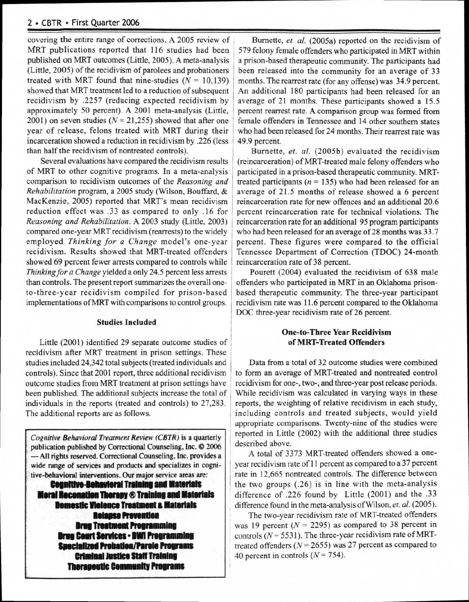#### **2 • CBTR • First Quarter 2006**

covering the entire range of corrections. A 2005 review of MRT publications reported that 116 studies had been published on MRT outcomes (Little, 2005). A meta-analysis (Little, 2005) of the recidivism of parolees and probationers treated with MRT found that nine-studies  $(N = 10,139)$ showed that MRT treatment led to a reduction of subsequent recidivism by .2257 (reducing expected recidivism by approximately 50 percent). A 2001 meta-analysis (Little, 2001) on seven studies  $(N = 21,255)$  showed that after one year of release, felons treated with MRT during their incarceration showed a reduction in recidivism by .226 (less than half the recidivism of nontreated controls).

Several evaluations have compared the recidivism results of MRT to other cognitive programs. In a meta-analysis comparison to recidivism outcomes of the *Reasoning and Rehabilitation* program, a 2005 study (Wilson, Bouffard, & MacKenzie, 2005) reported that MRT's mean recidivism reduction effect was .33 as compared to only .16 for *Reasoning and Rehabilitation.* A 2003 study (Little, 2003) compared one-year MRT recidivism (rearrests) to the widely employed *Thinking for a Change* model's one-year recidivism. Results showed that MRT-treated offenders showed 69 percent fewer arrests compared to controls while *Thinking for a Change* yielded a only 24.5 percent less arrests than controls. The present report summarizes the overall oneto-three-year recidivism compiled for prison-based implementations of MRT with comparisons to control groups.

#### **Studies Included**

Little (2001) identified 29 separate outcome studies of recidivism after MRT treatment in prison settings. These studies included 24,342 total subjects (treated individuals and controls). Since that 2001 report, three additional recidivism outcome studies from MRT treatment at prison settings have been published. The additional subjects increase the total of individuals in the reports (treated and controls) to 27,283. The additional reports are as follows.

*Cognitive Behavioral Treatment Review (CBTR) is* a quarterly publication published by Correctional Counseling, Inc. © 2006 —All rights reserved. Correctional Counseling, Inc. provides a wide range of services and products and specializes in cognitive-behavioral interventions. Our major service areas are: **Cognitive-Behavioral Training and Materials Moral Reconation Therapy ® Training and Materials Domestic Vielence Treatment & Materials** Drug Court Services • DWI Programming **Relanse Prevention Brug Treatment Programming Specialized Probation/Parole Programs Criminal Justice Staff Training Therapeutic Community Programs** 

Burnette, et. al. (2005a) reported on the recidivism of 579 felony female offenders who participated in MRT within a prison-based therapeutic community. The participants had been released into the community for an average of 33 months. The rearrest rate (for any offense) was 34.9 percent. An additional 180 participants had been released for an average of 21 months. These participants showed a 15.5 percent rearrest rate. A comparison group was formed from female offenders in Tennessee and 14 other southern states who had been released for 24 months. Their rearrest rate was 49.9 percent.

Burnette, *et. al.* (2005b) evaluated the recidivism (reincarceration) of MRT-treated male felony offenders who participated in a prison-based therapeutic community. MRTtreated participants  $(n = 135)$  who had been released for an average of 21.5 months of release showed a 6 percent reincarceration rate for new offences and an additional 20.6 percent reincarceration rate for technical violations. The reincarceration rate for an additional 95 program participants who had been released for an average of 28 months was 33.7 percent. These figures were compared to the official Tennessee Department of Correction (TDOC) 24-month reincarceration rate of 38 percent.

Pourett (2004) evaluated the recidivism of 638 male offenders who participated in MRT in an Oklahoma prisonbased therapeutic community. The three-year participant recidivism rate was 11.6 percent compared to the Oklahoma DOC three-year recidivism rate of 26 percent.

### **One-to-Three Year Recidivism of MRT-Treated Offenders**

Data from a total of 32 outcome studies were combined to form an average of MRT-treated and nontreated control recidivism for one-, two-, and three-year post release periods. While recidivism was calculated in varying ways in these reports, the weighting of relative recidivism in each study, including controls and treated subjects, would yield appropriate comparisons. Twenty-nine of the studies were reported in Little (2002) with the additional three studies described above.

A total of 3373 MRT-treated offenders showed a oneyear recidivism rate of 11 percent as compared to a 37 percent rate in 12,665 nontreated controls. The difference between the two groups (.26) is in line with the meta-analysis difference of .226 found by Little (2001) and the .33 difference found in the meta-analysis of Wilson, *et. al.* (2005).

The two-year recidivism rate of MRT-treated offenders was 19 percent  $(N = 2295)$  as compared to 38 percent in controls  $(N = 5531)$ . The three-year recidivism rate of MRTtreated offenders  $(N = 2655)$  was 27 percent as compared to 40 percent in controls  $(N = 754)$ .